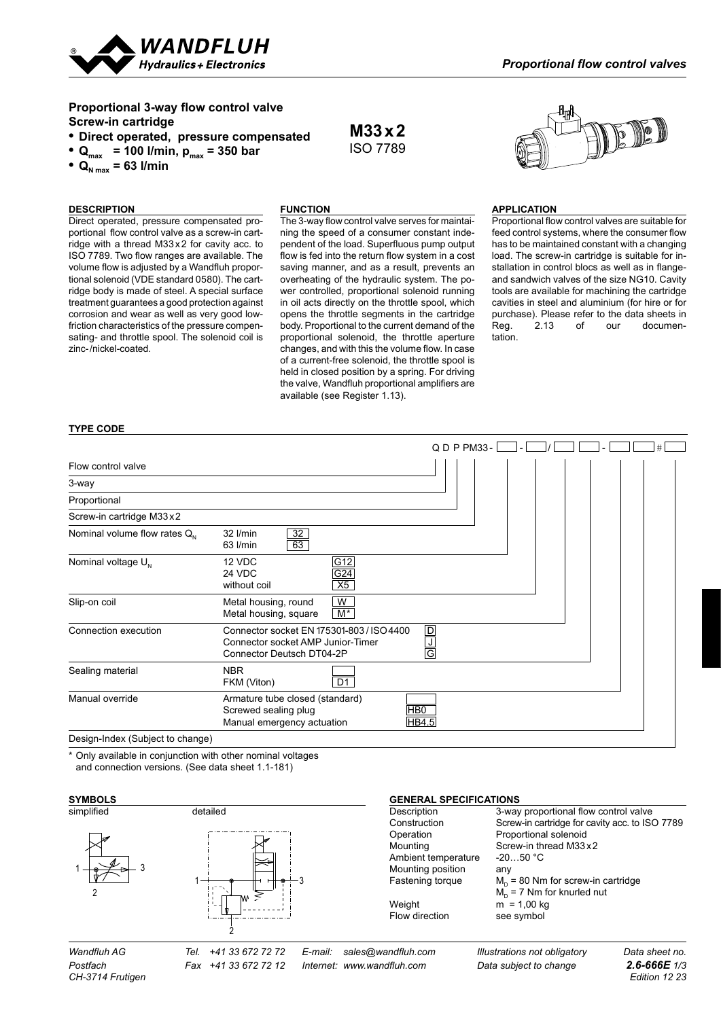

## **Proportional 3-way flow control valve Screw-in cartridge**

- **• Direct operated, pressure compensated**
- $Q_{\text{max}}$  = 100 l/min,  $p_{\text{max}}$  = 350 bar
- $Q_{N \max} = 63$  l/min

# **DESCRIPTION**

#### **Function**

Direct operated, pressure compensated proportional flow control valve as a screw-in cartridge with a thread M33x2 for cavity acc. to ISO 7789. Two flow ranges are available. The volume flow is adjusted by a Wandfluh proportional solenoid (VDE standard 0580). The cartridge body is made of steel. A special surface treatment guarantees a good protection against corrosion and wear as well as very good lowfriction characteristics of the pressure compensating- and throttle spool. The solenoid coil is zinc-/nickel-coated.

The 3-way flow control valve serves for maintaining the speed of a consumer constant independent of the load. Superfluous pump output flow is fed into the return flow system in a cost saving manner, and as a result, prevents an overheating of the hydraulic system. The power controlled, proportional solenoid running in oil acts directly on the throttle spool, which opens the throttle segments in the cartridge body. Proportional to the current demand of the proportional solenoid, the throttle aperture changes, and with this the volume flow. In case of a current-free solenoid, the throttle spool is held in closed position by a spring. For driving the valve, Wandfluh proportional amplifiers are available (see Register 1.13).

**M33x2** ISO 7789



#### **APPLICATION**

Proportional flow control valves are suitable for feed control systems, where the consumer flow has to be maintained constant with a changing load. The screw-in cartridge is suitable for installation in control blocs as well as in flangeand sandwich valves of the size NG10. Cavity tools are available for machining the cartridge cavities in steel and aluminium (for hire or for purchase). Please refer to the data sheets in Reg. 2.13 of our documentation.

#### **type code**

|                                   |                                                                                                             |                  | $Q D P P M 33 -$ |  |  | # |
|-----------------------------------|-------------------------------------------------------------------------------------------------------------|------------------|------------------|--|--|---|
| Flow control valve                |                                                                                                             |                  |                  |  |  |   |
| 3-way                             |                                                                                                             |                  |                  |  |  |   |
| Proportional                      |                                                                                                             |                  |                  |  |  |   |
| Screw-in cartridge M33x2          |                                                                                                             |                  |                  |  |  |   |
| Nominal volume flow rates $Q_{N}$ | 32<br>$32$ $l/min$<br>63<br>63 l/min                                                                        |                  |                  |  |  |   |
| Nominal voltage U <sub>N</sub>    | 12 VDC<br>24 VDC<br>without coil                                                                            | G12<br>G24<br>X5 |                  |  |  |   |
| Slip-on coil                      | Metal housing, round<br>Metal housing, square                                                               | W<br>$M^*$       |                  |  |  |   |
| Connection execution              | Connector socket EN 175301-803 / ISO 4400<br>Connector socket AMP Junior-Timer<br>Connector Deutsch DT04-2P |                  | $\frac{D}{G}$    |  |  |   |
| Sealing material                  | <b>NBR</b><br>FKM (Viton)                                                                                   | D1               |                  |  |  |   |
| Manual override                   | Armature tube closed (standard)<br>Screwed sealing plug<br>Manual emergency actuation                       |                  | HB0<br>HB4.5     |  |  |   |
| Design-Index (Subject to change)  |                                                                                                             |                  |                  |  |  |   |

\* Only available in conjunction with other nominal voltages **17 18 50 80 60** and connection versions. (See data sheet 1.1-181)

#### *Wandfluh AG Tel. +41 33 672 72 72 E-mail: sales@wandfluh.com Illustrations not obligatory Data sheet no. Postfach Fax +41 33 672 72 12 Internet: www.wandfluh.com Data subject to change 2.6-666E 1/3* **GENERAL SPECIFICATIONS**<br>Description 3-way 3-way proportional flow control valve Construction Screw-in cartridge for cavity acc. to ISO 7789 Operation Proportional solenoid<br>
Mounting Screw-in thread M33 Screw-in thread M33x2<br>-20...50 °C Ambient temperature Mounting position any Fastening torque  $M_D = 80$  Nm for screw-in cartridge  $M_D$  = 7 Nm for knurled nut Weight  $m = 1,00$  kg Flow direction see symbol **Symbols** simplified detailed 1 2 3 1 2 3

*CH-3714 Frutigen*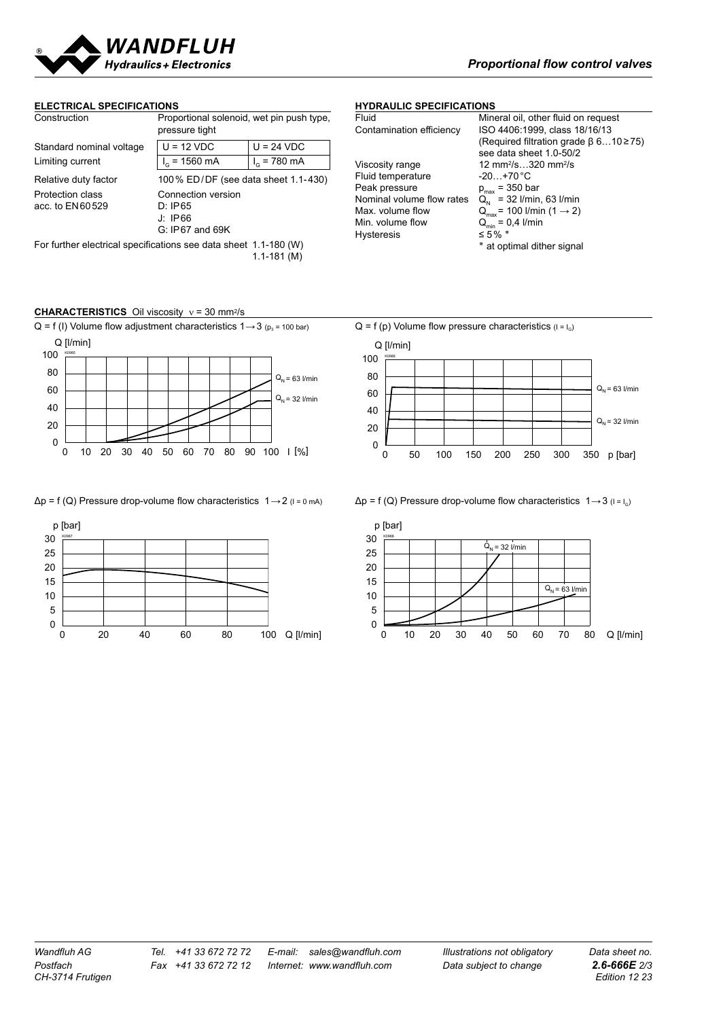

#### **ELECTRICAL SPECIFICATIONS**

| Construction                                                                        | Proportional solenoid, wet pin push type,<br>pressure tight   |                      |  |
|-------------------------------------------------------------------------------------|---------------------------------------------------------------|----------------------|--|
| Standard nominal voltage                                                            | $U = 12 VDC$                                                  | $U = 24 VDC$         |  |
| Limiting current                                                                    | $I_{\alpha}$ = 1560 mA                                        | $I_{\odot}$ = 780 mA |  |
| Relative duty factor                                                                | 100 % ED/DF (see data sheet 1.1-430)                          |                      |  |
| Protection class<br>acc. to EN60529                                                 | Connection version<br>D: IP65<br>J: IP66<br>$G: IP67$ and 69K |                      |  |
| For further electrical specifications see data sheet 1.1-180 (W)<br>$1.1 - 181$ (M) |                                                               |                      |  |

## **HYDRAULIC SPECIFICATIONS**

| Fluid                     | Mineral oil, other fluid on request         |
|---------------------------|---------------------------------------------|
| Contamination efficiency  | ISO 4406:1999, class 18/16/13               |
|                           | (Required filtration grade $\beta$ 610)     |
|                           | see data sheet 1.0-50/2                     |
| Viscosity range           | 12 mm <sup>2</sup> /s320 mm <sup>2</sup> /s |
| Fluid temperature         | $-20+70\degree$ C                           |
| Peak pressure             | $p_{max}$ = 350 bar                         |
| Nominal volume flow rates | $Q_{N}$ = 32 I/min, 63 I/min                |
| Max. volume flow          | $Q_{max}$ = 100 I/min (1 $\rightarrow$ 2)   |
| Min. volume flow          | $Q_{\min} = 0.4$ I/min                      |
| <b>Hysteresis</b>         | ≤ 5% $*$                                    |
|                           | * at ontimal dither signal                  |

 $rade$   $\beta$  6…10 ≥75)  $\frac{50}{2}$ ignal







### $\Delta p = f(Q)$  Pressure drop-volume flow characteristics  $1 \rightarrow 2$  ( $1 = 0$  mA)  $\Delta p = f(Q)$  Pressure drop-volume flow characteristics  $1 \rightarrow 3$  ( $1 = 1_0$ )



 $Q = f (I)$  Volume flow adjustment characteristics 1→3 (p<sub>3</sub> = 100 bar)  $Q = f (p)$  Volume flow pressure characteristics ( $I = I<sub>G</sub>$ )